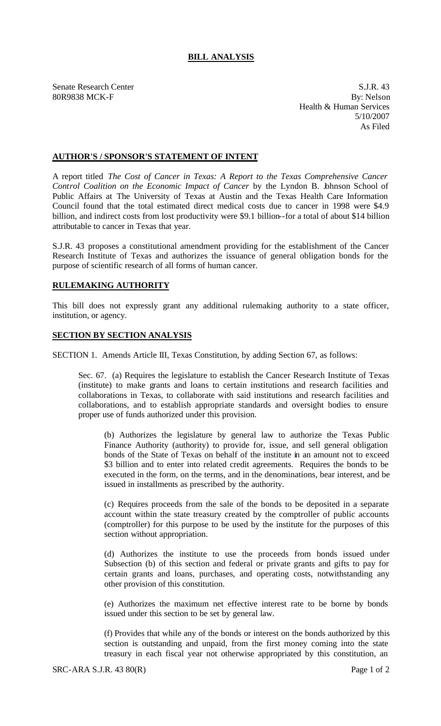## **BILL ANALYSIS**

Senate Research Center S.J.R. 43

80R9838 MCK-F By: Nelson Health & Human Services 5/10/2007 As Filed

## **AUTHOR'S / SPONSOR'S STATEMENT OF INTENT**

A report titled *The Cost of Cancer in Texas: A Report to the Texas Comprehensive Cancer Control Coalition on the Economic Impact of Cancer* by the Lyndon B. Johnson School of Public Affairs at The University of Texas at Austin and the Texas Health Care Information Council found that the total estimated direct medical costs due to cancer in 1998 were \$4.9 billion, and indirect costs from lost productivity were \$9.1 billion--for a total of about \$14 billion attributable to cancer in Texas that year.

S.J.R. 43 proposes a constitutional amendment providing for the establishment of the Cancer Research Institute of Texas and authorizes the issuance of general obligation bonds for the purpose of scientific research of all forms of human cancer.

## **RULEMAKING AUTHORITY**

This bill does not expressly grant any additional rulemaking authority to a state officer, institution, or agency.

## **SECTION BY SECTION ANALYSIS**

SECTION 1. Amends Article III, Texas Constitution, by adding Section 67, as follows:

Sec. 67. (a) Requires the legislature to establish the Cancer Research Institute of Texas (institute) to make grants and loans to certain institutions and research facilities and collaborations in Texas, to collaborate with said institutions and research facilities and collaborations, and to establish appropriate standards and oversight bodies to ensure proper use of funds authorized under this provision.

(b) Authorizes the legislature by general law to authorize the Texas Public Finance Authority (authority) to provide for, issue, and sell general obligation bonds of the State of Texas on behalf of the institute in an amount not to exceed \$3 billion and to enter into related credit agreements. Requires the bonds to be executed in the form, on the terms, and in the denominations, bear interest, and be issued in installments as prescribed by the authority.

(c) Requires proceeds from the sale of the bonds to be deposited in a separate account within the state treasury created by the comptroller of public accounts (comptroller) for this purpose to be used by the institute for the purposes of this section without appropriation.

(d) Authorizes the institute to use the proceeds from bonds issued under Subsection (b) of this section and federal or private grants and gifts to pay for certain grants and loans, purchases, and operating costs, notwithstanding any other provision of this constitution.

(e) Authorizes the maximum net effective interest rate to be borne by bonds issued under this section to be set by general law.

(f) Provides that while any of the bonds or interest on the bonds authorized by this section is outstanding and unpaid, from the first money coming into the state treasury in each fiscal year not otherwise appropriated by this constitution, an